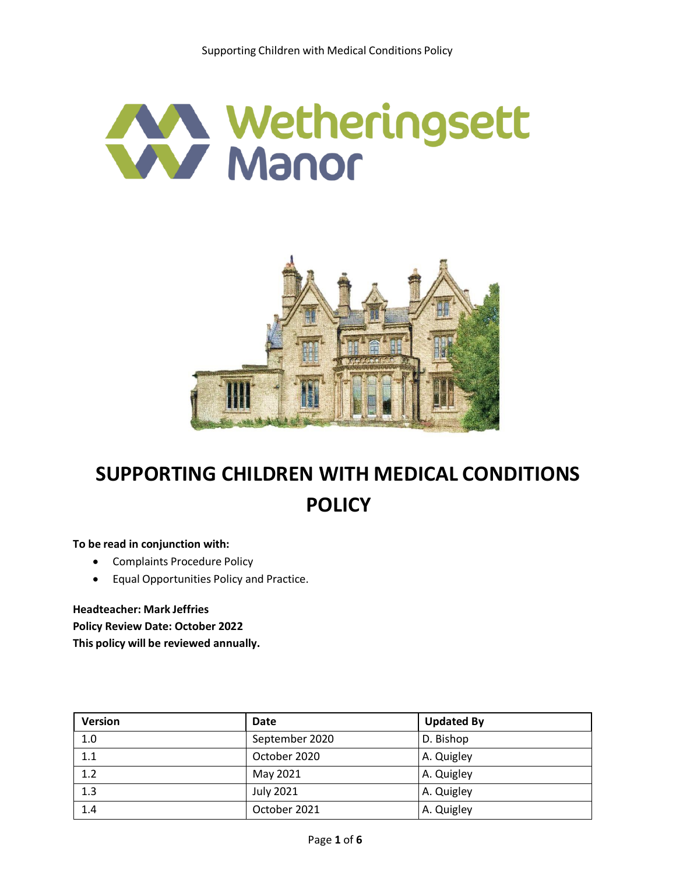



# **SUPPORTING CHILDREN WITH MEDICAL CONDITIONS POLICY**

**To be read in conjunction with:**

- Complaints Procedure Policy
- Equal Opportunities Policy and Practice.

**Headteacher: Mark Jeffries Policy Review Date: October 2022**

**This policy will be reviewed annually.**

| <b>Version</b> | Date             | <b>Updated By</b> |
|----------------|------------------|-------------------|
| 1.0            | September 2020   | D. Bishop         |
| 1.1            | October 2020     | A. Quigley        |
| 1.2            | May 2021         | A. Quigley        |
| 1.3            | <b>July 2021</b> | A. Quigley        |
| 1.4            | October 2021     | A. Quigley        |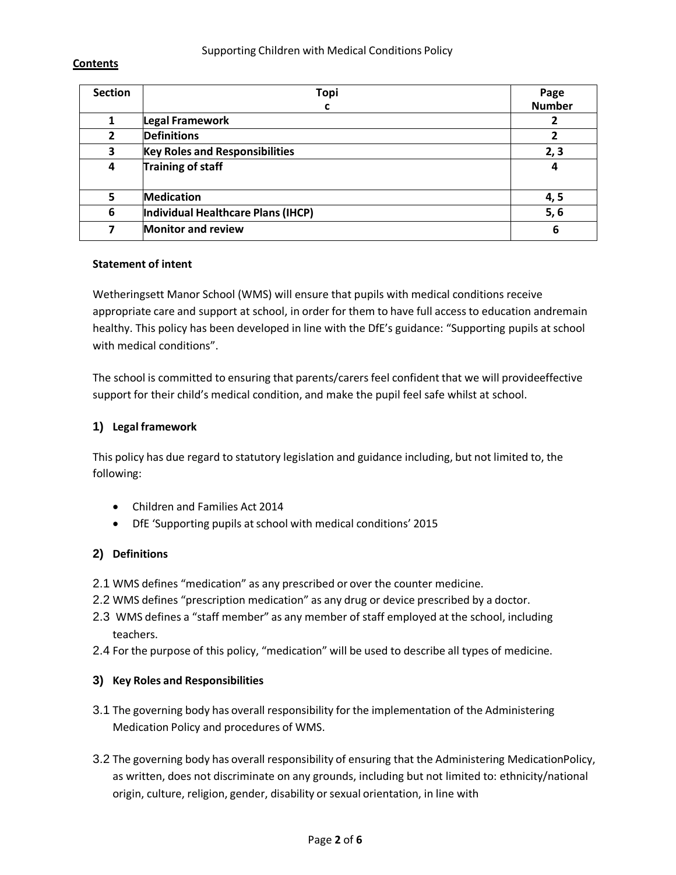#### Supporting Children with Medical Conditions Policy

#### **Contents**

| <b>Section</b> | <b>Topi</b>                           | Page          |
|----------------|---------------------------------------|---------------|
|                | C                                     | <b>Number</b> |
|                | Legal Framework                       |               |
| $\overline{2}$ | <b>Definitions</b>                    |               |
| 3              | <b>Key Roles and Responsibilities</b> | 2, 3          |
| 4              | Training of staff                     | 4             |
| 5              | <b>Medication</b>                     | 4, 5          |
| 6              | Individual Healthcare Plans (IHCP)    | 5, 6          |
| 7              | <b>Monitor and review</b>             | 6             |

#### **Statement of intent**

Wetheringsett Manor School (WMS) will ensure that pupils with medical conditions receive appropriate care and support at school, in order for them to have full access to education andremain healthy. This policy has been developed in line with the DfE's guidance: "Supporting pupils at school with medical conditions".

The school is committed to ensuring that parents/carers feel confident that we will provideeffective support for their child's medical condition, and make the pupil feel safe whilst at school.

#### **1) Legal framework**

This policy has due regard to statutory legislation and guidance including, but not limited to, the following:

- Children and Families Act 2014
- DfE 'Supporting pupils at school with medical conditions' 2015

#### **2) Definitions**

- 2.1 WMS defines "medication" as any prescribed or over the counter medicine.
- 2.2 WMS defines "prescription medication" as any drug or device prescribed by a doctor.
- 2.3 WMS defines a "staff member" as any member of staff employed at the school, including teachers.
- 2.4 For the purpose of this policy, "medication" will be used to describe all types of medicine.

#### **3) Key Roles and Responsibilities**

- 3.1 The governing body has overall responsibility for the implementation of the Administering Medication Policy and procedures of WMS.
- 3.2 The governing body has overall responsibility of ensuring that the Administering MedicationPolicy, as written, does not discriminate on any grounds, including but not limited to: ethnicity/national origin, culture, religion, gender, disability or sexual orientation, in line with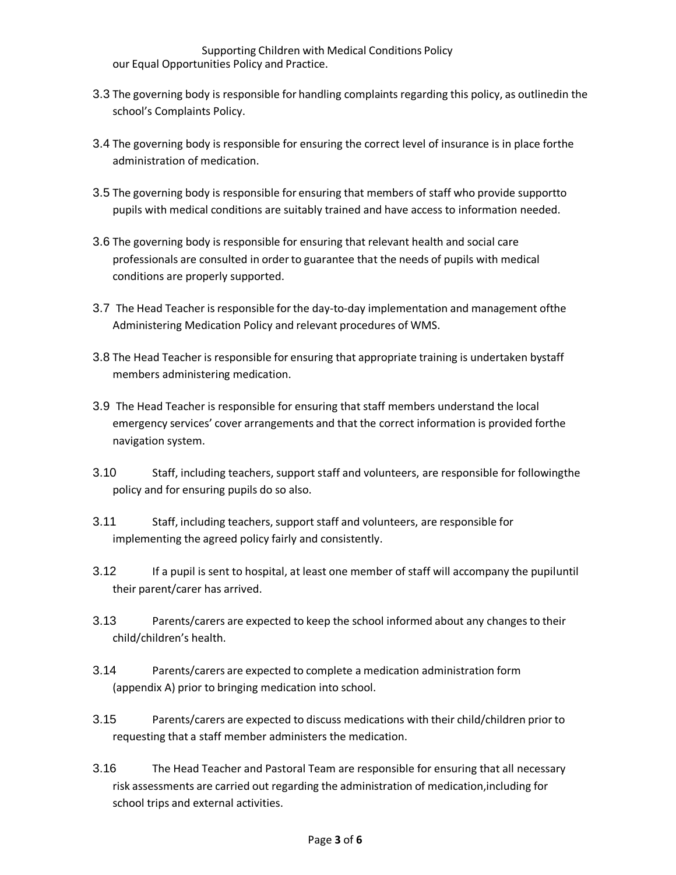Supporting Children with Medical Conditions Policy our Equal Opportunities Policy and Practice.

- 3.3 The governing body is responsible for handling complaints regarding this policy, as outlinedin the school's Complaints Policy.
- 3.4 The governing body is responsible for ensuring the correct level of insurance is in place forthe administration of medication.
- 3.5 The governing body is responsible for ensuring that members of staff who provide supportto pupils with medical conditions are suitably trained and have access to information needed.
- 3.6 The governing body is responsible for ensuring that relevant health and social care professionals are consulted in orderto guarantee that the needs of pupils with medical conditions are properly supported.
- 3.7 The Head Teacher is responsible forthe day-to-day implementation and management ofthe Administering Medication Policy and relevant procedures of WMS.
- 3.8 The Head Teacher is responsible for ensuring that appropriate training is undertaken bystaff members administering medication.
- 3.9 The Head Teacher is responsible for ensuring that staff members understand the local emergency services' cover arrangements and that the correct information is provided forthe navigation system.
- 3.10 Staff, including teachers, support staff and volunteers, are responsible for followingthe policy and for ensuring pupils do so also.
- 3.11 Staff, including teachers, support staff and volunteers, are responsible for implementing the agreed policy fairly and consistently.
- 3.12 If a pupil is sent to hospital, at least one member of staff will accompany the pupiluntil their parent/carer has arrived.
- 3.13 Parents/carers are expected to keep the school informed about any changes to their child/children's health.
- 3.14 Parents/carers are expected to complete a medication administration form (appendix A) prior to bringing medication into school.
- 3.15 Parents/carers are expected to discuss medications with their child/children prior to requesting that a staff member administers the medication.
- 3.16 The Head Teacher and Pastoral Team are responsible for ensuring that all necessary risk assessments are carried out regarding the administration of medication,including for school trips and external activities.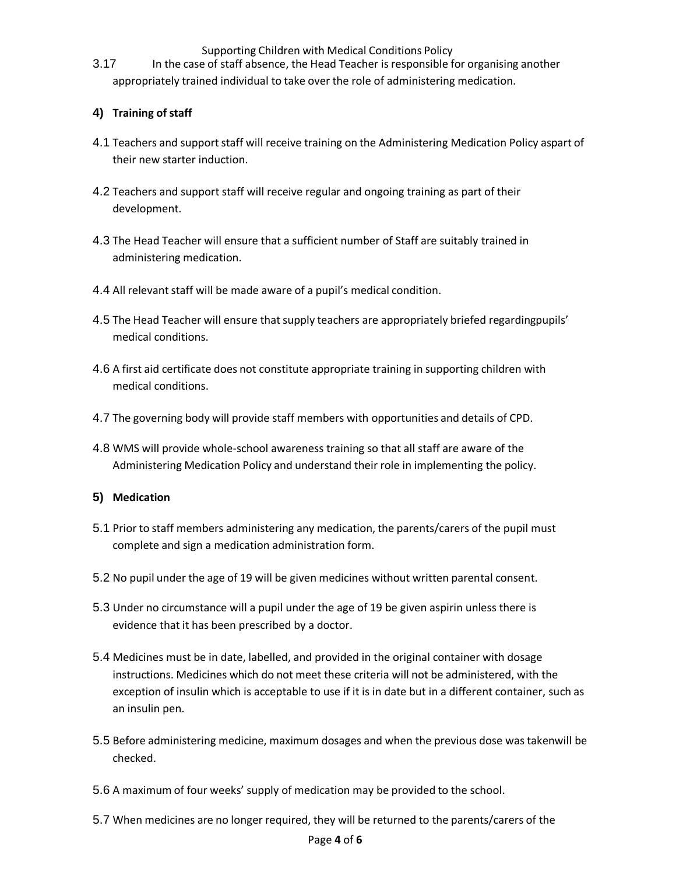Supporting Children with Medical Conditions Policy

3.17 In the case of staff absence, the Head Teacher is responsible for organising another appropriately trained individual to take over the role of administering medication.

## **4) Training of staff**

- 4.1 Teachers and support staff will receive training on the Administering Medication Policy aspart of their new starter induction.
- 4.2 Teachers and support staff will receive regular and ongoing training as part of their development.
- 4.3 The Head Teacher will ensure that a sufficient number of Staff are suitably trained in administering medication.
- 4.4 All relevant staff will be made aware of a pupil's medical condition.
- 4.5 The Head Teacher will ensure that supply teachers are appropriately briefed regardingpupils' medical conditions.
- 4.6 A first aid certificate does not constitute appropriate training in supporting children with medical conditions.
- 4.7 The governing body will provide staff members with opportunities and details of CPD.
- 4.8 WMS will provide whole-school awareness training so that all staff are aware of the Administering Medication Policy and understand their role in implementing the policy.

## **5) Medication**

- 5.1 Prior to staff members administering any medication, the parents/carers of the pupil must complete and sign a medication administration form.
- 5.2 No pupil under the age of 19 will be given medicines without written parental consent.
- 5.3 Under no circumstance will a pupil under the age of 19 be given aspirin unless there is evidence that it has been prescribed by a doctor.
- 5.4 Medicines must be in date, labelled, and provided in the original container with dosage instructions. Medicines which do not meet these criteria will not be administered, with the exception of insulin which is acceptable to use if it is in date but in a different container, such as an insulin pen.
- 5.5 Before administering medicine, maximum dosages and when the previous dose was takenwill be checked.
- 5.6 A maximum of four weeks' supply of medication may be provided to the school.
- 5.7 When medicines are no longer required, they will be returned to the parents/carers of the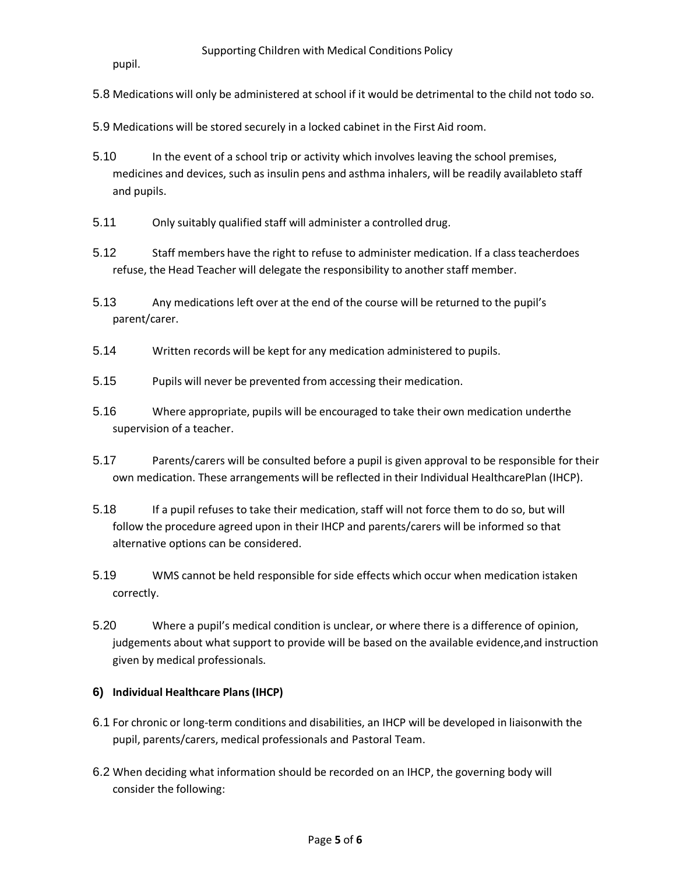pupil.

- 5.8 Medications will only be administered at school if it would be detrimental to the child not todo so.
- 5.9 Medications will be stored securely in a locked cabinet in the First Aid room.
- 5.10 In the event of a school trip or activity which involves leaving the school premises, medicines and devices, such as insulin pens and asthma inhalers, will be readily availableto staff and pupils.
- 5.11 Only suitably qualified staff will administer a controlled drug.
- 5.12 Staff members have the right to refuse to administer medication. If a class teacherdoes refuse, the Head Teacher will delegate the responsibility to another staff member.
- 5.13 Any medications left over at the end of the course will be returned to the pupil's parent/carer.
- 5.14 Written records will be kept for any medication administered to pupils.
- 5.15 Pupils will never be prevented from accessing their medication.
- 5.16 Where appropriate, pupils will be encouraged to take their own medication underthe supervision of a teacher.
- 5.17 Parents/carers will be consulted before a pupil is given approval to be responsible for their own medication. These arrangements will be reflected in their Individual HealthcarePlan (IHCP).
- 5.18 If a pupil refuses to take their medication, staff will not force them to do so, but will follow the procedure agreed upon in their IHCP and parents/carers will be informed so that alternative options can be considered.
- 5.19 WMS cannot be held responsible for side effects which occur when medication istaken correctly.
- 5.20 Where a pupil's medical condition is unclear, or where there is a difference of opinion, judgements about what support to provide will be based on the available evidence,and instruction given by medical professionals.

## **6) Individual Healthcare Plans(IHCP)**

- 6.1 For chronic or long-term conditions and disabilities, an IHCP will be developed in liaisonwith the pupil, parents/carers, medical professionals and Pastoral Team.
- 6.2 When deciding what information should be recorded on an IHCP, the governing body will consider the following: